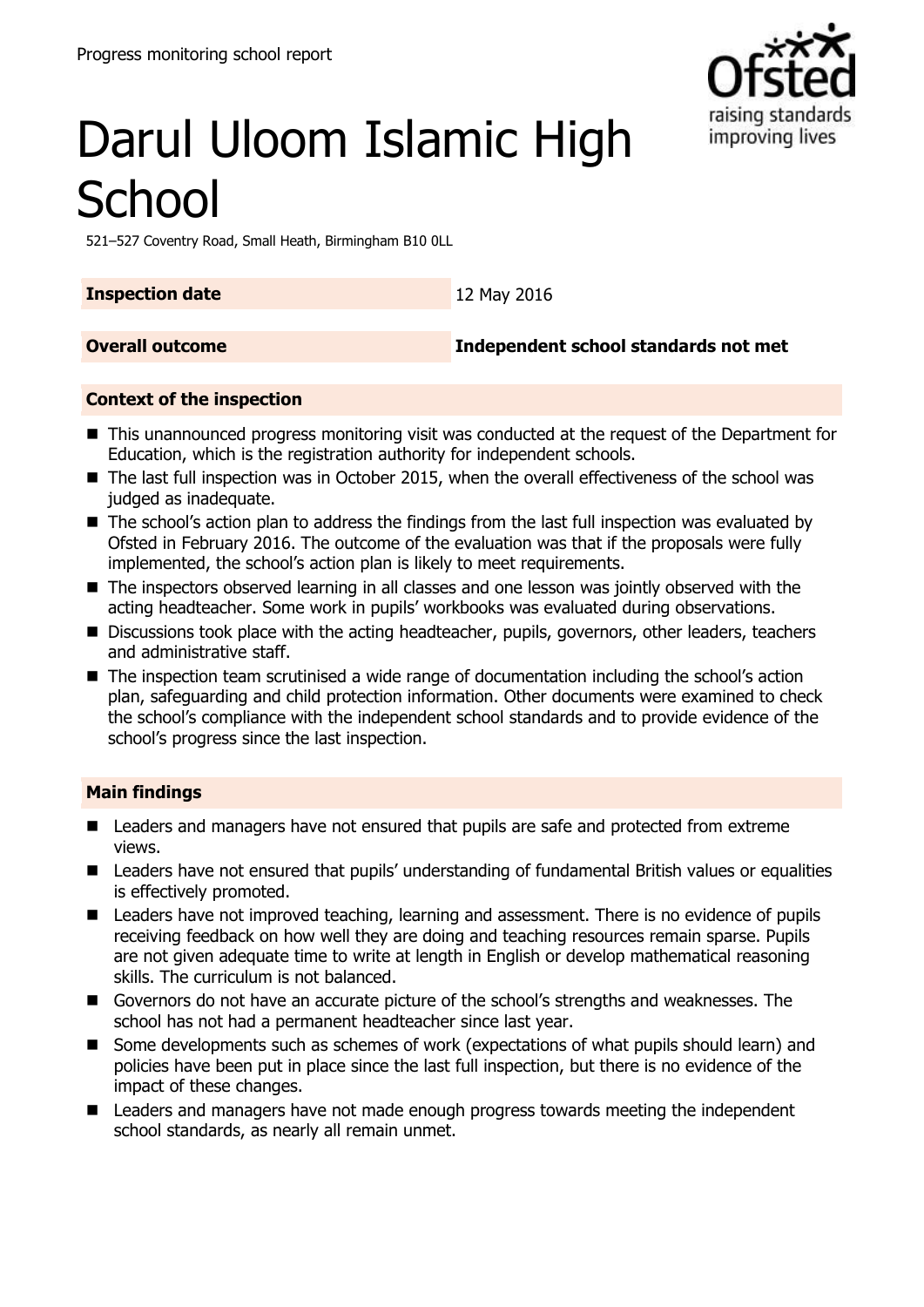

# Darul Uloom Islamic High **School**

521–527 Coventry Road, Small Heath, Birmingham B10 0LL

**Inspection date** 12 May 2016

**Overall outcome Independent school standards not met**

#### **Context of the inspection**

- This unannounced progress monitoring visit was conducted at the request of the Department for Education, which is the registration authority for independent schools.
- The last full inspection was in October 2015, when the overall effectiveness of the school was judged as inadequate.
- The school's action plan to address the findings from the last full inspection was evaluated by Ofsted in February 2016. The outcome of the evaluation was that if the proposals were fully implemented, the school's action plan is likely to meet requirements.
- The inspectors observed learning in all classes and one lesson was jointly observed with the acting headteacher. Some work in pupils' workbooks was evaluated during observations.
- Discussions took place with the acting headteacher, pupils, governors, other leaders, teachers and administrative staff.
- The inspection team scrutinised a wide range of documentation including the school's action plan, safeguarding and child protection information. Other documents were examined to check the school's compliance with the independent school standards and to provide evidence of the school's progress since the last inspection.

#### **Main findings**

- Leaders and managers have not ensured that pupils are safe and protected from extreme views.
- Leaders have not ensured that pupils' understanding of fundamental British values or equalities is effectively promoted.
- Leaders have not improved teaching, learning and assessment. There is no evidence of pupils receiving feedback on how well they are doing and teaching resources remain sparse. Pupils are not given adequate time to write at length in English or develop mathematical reasoning skills. The curriculum is not balanced.
- Governors do not have an accurate picture of the school's strengths and weaknesses. The school has not had a permanent headteacher since last year.
- Some developments such as schemes of work (expectations of what pupils should learn) and policies have been put in place since the last full inspection, but there is no evidence of the impact of these changes.
- Leaders and managers have not made enough progress towards meeting the independent school standards, as nearly all remain unmet.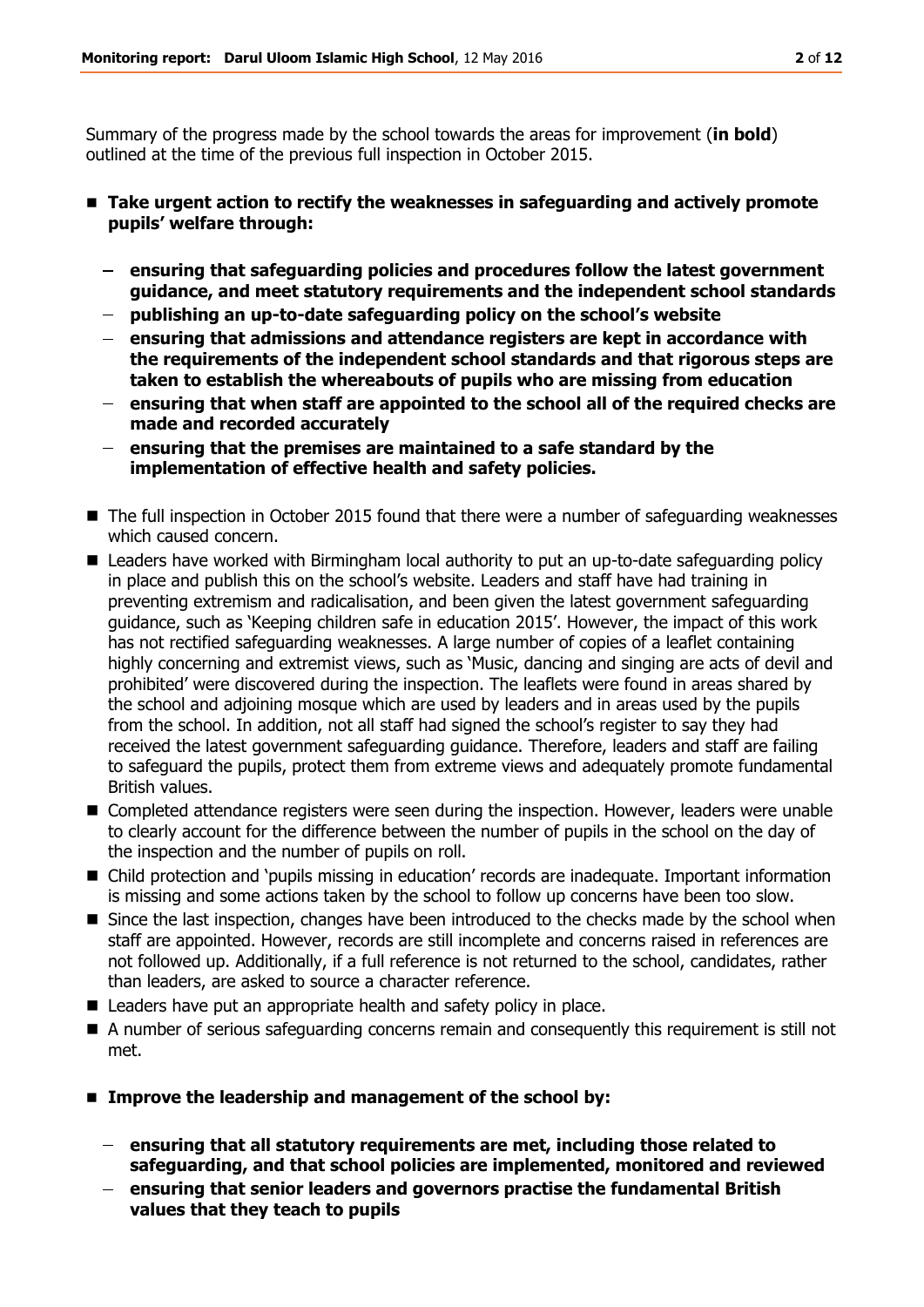Summary of the progress made by the school towards the areas for improvement (**in bold**) outlined at the time of the previous full inspection in October 2015.

- **Take urgent action to rectify the weaknesses in safeguarding and actively promote pupils' welfare through:**
	- **ensuring that safeguarding policies and procedures follow the latest government guidance, and meet statutory requirements and the independent school standards**
	- **publishing an up-to-date safeguarding policy on the school's website**
	- **ensuring that admissions and attendance registers are kept in accordance with the requirements of the independent school standards and that rigorous steps are taken to establish the whereabouts of pupils who are missing from education**
	- **ensuring that when staff are appointed to the school all of the required checks are made and recorded accurately**
	- **ensuring that the premises are maintained to a safe standard by the implementation of effective health and safety policies.**
- The full inspection in October 2015 found that there were a number of safeguarding weaknesses which caused concern.
- Leaders have worked with Birmingham local authority to put an up-to-date safeguarding policy in place and publish this on the school's website. Leaders and staff have had training in preventing extremism and radicalisation, and been given the latest government safeguarding guidance, such as 'Keeping children safe in education 2015'. However, the impact of this work has not rectified safeguarding weaknesses. A large number of copies of a leaflet containing highly concerning and extremist views, such as 'Music, dancing and singing are acts of devil and prohibited' were discovered during the inspection. The leaflets were found in areas shared by the school and adjoining mosque which are used by leaders and in areas used by the pupils from the school. In addition, not all staff had signed the school's register to say they had received the latest government safeguarding guidance. Therefore, leaders and staff are failing to safeguard the pupils, protect them from extreme views and adequately promote fundamental British values.
- Completed attendance registers were seen during the inspection. However, leaders were unable to clearly account for the difference between the number of pupils in the school on the day of the inspection and the number of pupils on roll.
- Child protection and 'pupils missing in education' records are inadequate. Important information is missing and some actions taken by the school to follow up concerns have been too slow.
- Since the last inspection, changes have been introduced to the checks made by the school when staff are appointed. However, records are still incomplete and concerns raised in references are not followed up. Additionally, if a full reference is not returned to the school, candidates, rather than leaders, are asked to source a character reference.
- Leaders have put an appropriate health and safety policy in place.
- A number of serious safeguarding concerns remain and consequently this requirement is still not met.
- **Improve the leadership and management of the school by:**
	- **ensuring that all statutory requirements are met, including those related to safeguarding, and that school policies are implemented, monitored and reviewed**
	- **ensuring that senior leaders and governors practise the fundamental British values that they teach to pupils**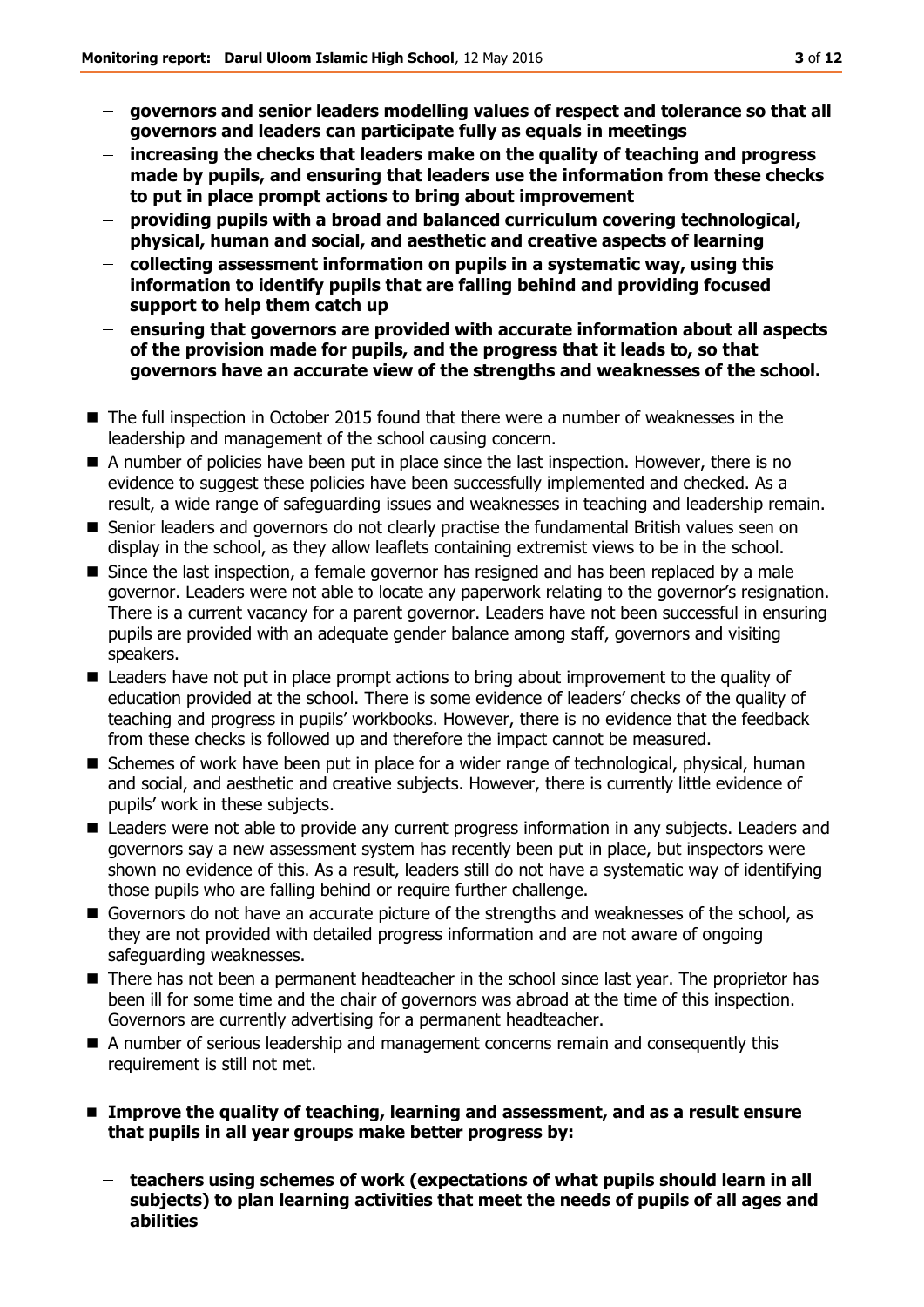- **governors and senior leaders modelling values of respect and tolerance so that all governors and leaders can participate fully as equals in meetings**
- **increasing the checks that leaders make on the quality of teaching and progress made by pupils, and ensuring that leaders use the information from these checks to put in place prompt actions to bring about improvement**
- **providing pupils with a broad and balanced curriculum covering technological, physical, human and social, and aesthetic and creative aspects of learning**
- **collecting assessment information on pupils in a systematic way, using this information to identify pupils that are falling behind and providing focused support to help them catch up**
- **ensuring that governors are provided with accurate information about all aspects of the provision made for pupils, and the progress that it leads to, so that governors have an accurate view of the strengths and weaknesses of the school.**
- The full inspection in October 2015 found that there were a number of weaknesses in the leadership and management of the school causing concern.
- A number of policies have been put in place since the last inspection. However, there is no evidence to suggest these policies have been successfully implemented and checked. As a result, a wide range of safeguarding issues and weaknesses in teaching and leadership remain.
- Senior leaders and governors do not clearly practise the fundamental British values seen on display in the school, as they allow leaflets containing extremist views to be in the school.
- **Since the last inspection, a female governor has resigned and has been replaced by a male** governor. Leaders were not able to locate any paperwork relating to the governor's resignation. There is a current vacancy for a parent governor. Leaders have not been successful in ensuring pupils are provided with an adequate gender balance among staff, governors and visiting speakers.
- Leaders have not put in place prompt actions to bring about improvement to the quality of education provided at the school. There is some evidence of leaders' checks of the quality of teaching and progress in pupils' workbooks. However, there is no evidence that the feedback from these checks is followed up and therefore the impact cannot be measured.
- Schemes of work have been put in place for a wider range of technological, physical, human and social, and aesthetic and creative subjects. However, there is currently little evidence of pupils' work in these subjects.
- Leaders were not able to provide any current progress information in any subjects. Leaders and governors say a new assessment system has recently been put in place, but inspectors were shown no evidence of this. As a result, leaders still do not have a systematic way of identifying those pupils who are falling behind or require further challenge.
- Governors do not have an accurate picture of the strengths and weaknesses of the school, as they are not provided with detailed progress information and are not aware of ongoing safeguarding weaknesses.
- There has not been a permanent headteacher in the school since last year. The proprietor has been ill for some time and the chair of governors was abroad at the time of this inspection. Governors are currently advertising for a permanent headteacher.
- A number of serious leadership and management concerns remain and consequently this requirement is still not met.
- Improve the quality of teaching, learning and assessment, and as a result ensure **that pupils in all year groups make better progress by:**
	- **teachers using schemes of work (expectations of what pupils should learn in all subjects) to plan learning activities that meet the needs of pupils of all ages and abilities**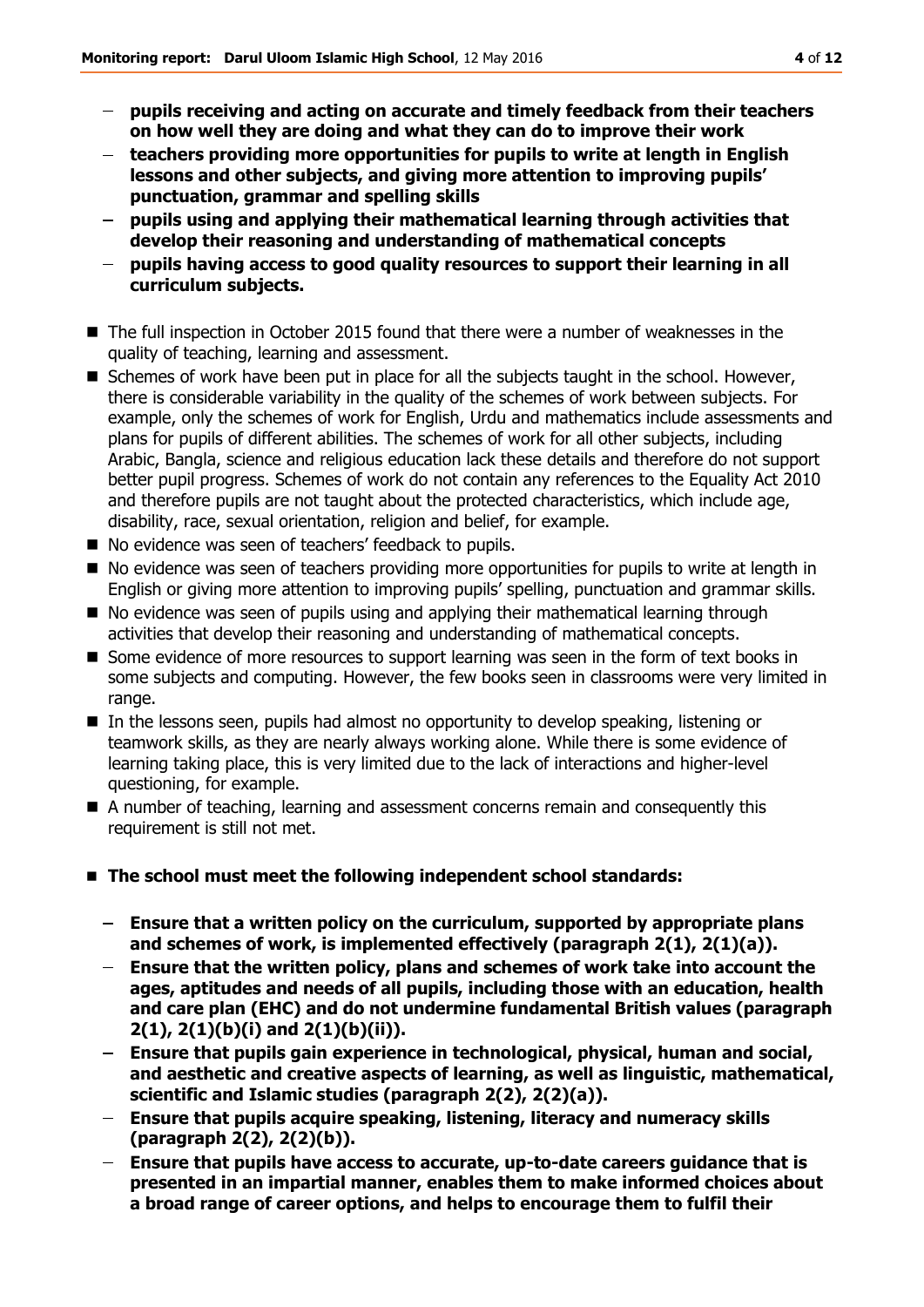- **pupils receiving and acting on accurate and timely feedback from their teachers on how well they are doing and what they can do to improve their work**
- **teachers providing more opportunities for pupils to write at length in English lessons and other subjects, and giving more attention to improving pupils' punctuation, grammar and spelling skills**
- **pupils using and applying their mathematical learning through activities that develop their reasoning and understanding of mathematical concepts**
- **pupils having access to good quality resources to support their learning in all curriculum subjects.**
- The full inspection in October 2015 found that there were a number of weaknesses in the quality of teaching, learning and assessment.
- Schemes of work have been put in place for all the subjects taught in the school. However, there is considerable variability in the quality of the schemes of work between subjects. For example, only the schemes of work for English, Urdu and mathematics include assessments and plans for pupils of different abilities. The schemes of work for all other subjects, including Arabic, Bangla, science and religious education lack these details and therefore do not support better pupil progress. Schemes of work do not contain any references to the Equality Act 2010 and therefore pupils are not taught about the protected characteristics, which include age, disability, race, sexual orientation, religion and belief, for example.
- No evidence was seen of teachers' feedback to pupils.
- No evidence was seen of teachers providing more opportunities for pupils to write at length in English or giving more attention to improving pupils' spelling, punctuation and grammar skills.
- No evidence was seen of pupils using and applying their mathematical learning through activities that develop their reasoning and understanding of mathematical concepts.
- **Some evidence of more resources to support learning was seen in the form of text books in** some subjects and computing. However, the few books seen in classrooms were very limited in range.
- In the lessons seen, pupils had almost no opportunity to develop speaking, listening or teamwork skills, as they are nearly always working alone. While there is some evidence of learning taking place, this is very limited due to the lack of interactions and higher-level questioning, for example.
- A number of teaching, learning and assessment concerns remain and consequently this requirement is still not met.
- **The school must meet the following independent school standards:**
	- **Ensure that a written policy on the curriculum, supported by appropriate plans and schemes of work, is implemented effectively (paragraph 2(1), 2(1)(a)).**
	- **Ensure that the written policy, plans and schemes of work take into account the ages, aptitudes and needs of all pupils, including those with an education, health and care plan (EHC) and do not undermine fundamental British values (paragraph 2(1), 2(1)(b)(i) and 2(1)(b)(ii)).**
	- **Ensure that pupils gain experience in technological, physical, human and social, and aesthetic and creative aspects of learning, as well as linguistic, mathematical, scientific and Islamic studies (paragraph 2(2), 2(2)(a)).**
	- **Ensure that pupils acquire speaking, listening, literacy and numeracy skills (paragraph 2(2), 2(2)(b)).**
	- **Ensure that pupils have access to accurate, up-to-date careers guidance that is presented in an impartial manner, enables them to make informed choices about a broad range of career options, and helps to encourage them to fulfil their**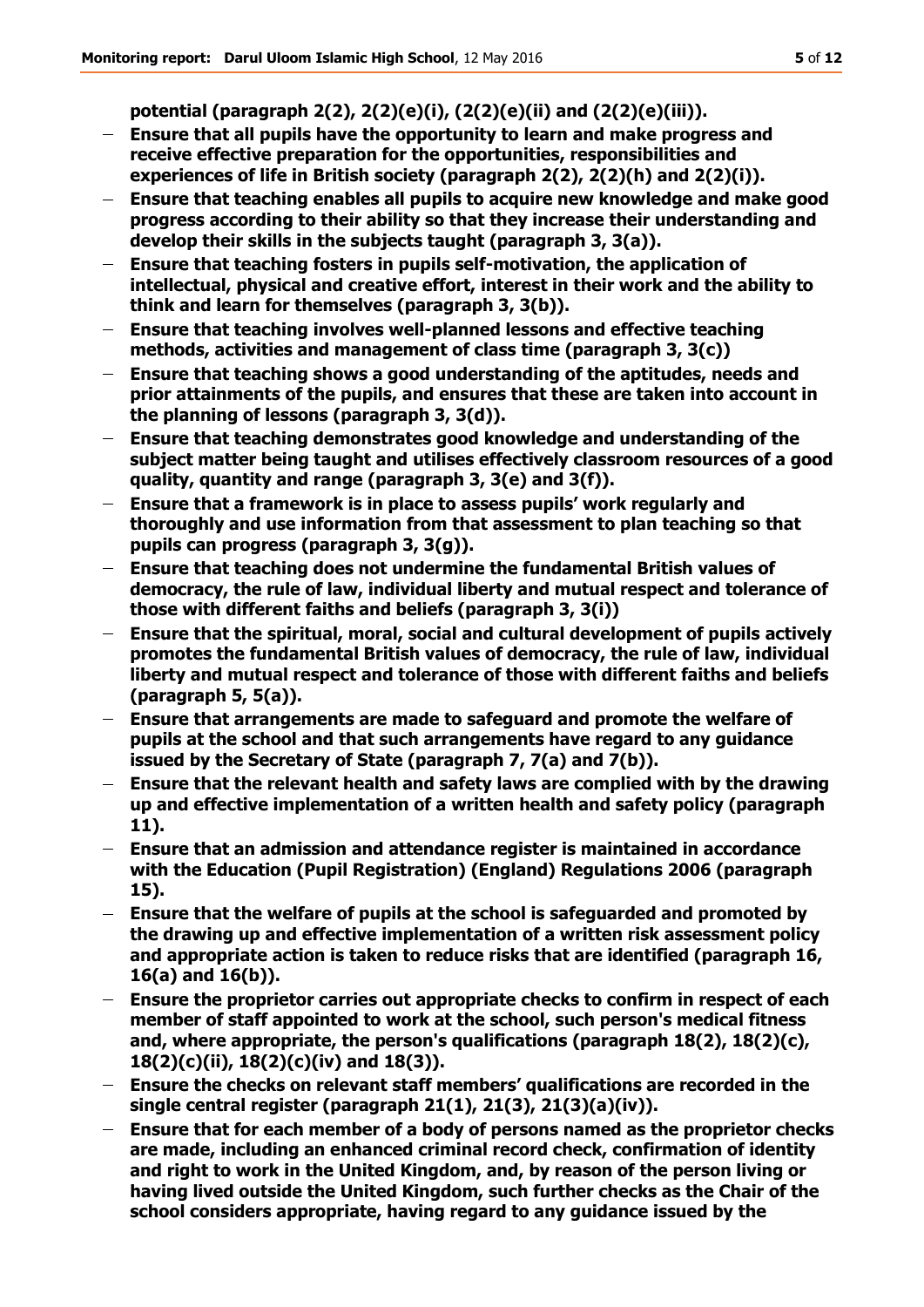**potential (paragraph 2(2), 2(2)(e)(i), (2(2)(e)(ii) and (2(2)(e)(iii)).**

- $\frac{1}{2}$ **Ensure that all pupils have the opportunity to learn and make progress and receive effective preparation for the opportunities, responsibilities and experiences of life in British society (paragraph 2(2), 2(2)(h) and 2(2)(i)).**
- **Ensure that teaching enables all pupils to acquire new knowledge and make good progress according to their ability so that they increase their understanding and develop their skills in the subjects taught (paragraph 3, 3(a)).**
- **Ensure that teaching fosters in pupils self-motivation, the application of**   $\frac{1}{2}$ **intellectual, physical and creative effort, interest in their work and the ability to think and learn for themselves (paragraph 3, 3(b)).**
- **Ensure that teaching involves well-planned lessons and effective teaching methods, activities and management of class time (paragraph 3, 3(c))**
- **Ensure that teaching shows a good understanding of the aptitudes, needs and prior attainments of the pupils, and ensures that these are taken into account in the planning of lessons (paragraph 3, 3(d)).**
- **Ensure that teaching demonstrates good knowledge and understanding of the subject matter being taught and utilises effectively classroom resources of a good quality, quantity and range (paragraph 3, 3(e) and 3(f)).**
- $\equiv$ **Ensure that a framework is in place to assess pupils' work regularly and thoroughly and use information from that assessment to plan teaching so that pupils can progress (paragraph 3, 3(g)).**
- **Ensure that teaching does not undermine the fundamental British values of democracy, the rule of law, individual liberty and mutual respect and tolerance of those with different faiths and beliefs (paragraph 3, 3(i))**
- **Ensure that the spiritual, moral, social and cultural development of pupils actively promotes the fundamental British values of democracy, the rule of law, individual liberty and mutual respect and tolerance of those with different faiths and beliefs (paragraph 5, 5(a)).**
- **Ensure that arrangements are made to safeguard and promote the welfare of pupils at the school and that such arrangements have regard to any guidance issued by the Secretary of State (paragraph 7, 7(a) and 7(b)).**
- **Ensure that the relevant health and safety laws are complied with by the drawing up and effective implementation of a written health and safety policy (paragraph 11).**
- **Ensure that an admission and attendance register is maintained in accordance with the Education (Pupil Registration) (England) Regulations 2006 (paragraph 15).**
- $\overline{\phantom{0}}$ **Ensure that the welfare of pupils at the school is safeguarded and promoted by the drawing up and effective implementation of a written risk assessment policy and appropriate action is taken to reduce risks that are identified (paragraph 16, 16(a) and 16(b)).**
- **Ensure the proprietor carries out appropriate checks to confirm in respect of each**   $\frac{1}{2}$ **member of staff appointed to work at the school, such person's medical fitness and, where appropriate, the person's qualifications (paragraph 18(2), 18(2)(c), 18(2)(c)(ii), 18(2)(c)(iv) and 18(3)).**
- $\overline{\phantom{0}}$ **Ensure the checks on relevant staff members' qualifications are recorded in the single central register (paragraph 21(1), 21(3), 21(3)(a)(iv)).**
- $\frac{1}{2}$ **Ensure that for each member of a body of persons named as the proprietor checks are made, including an enhanced criminal record check, confirmation of identity and right to work in the United Kingdom, and, by reason of the person living or having lived outside the United Kingdom, such further checks as the Chair of the school considers appropriate, having regard to any guidance issued by the**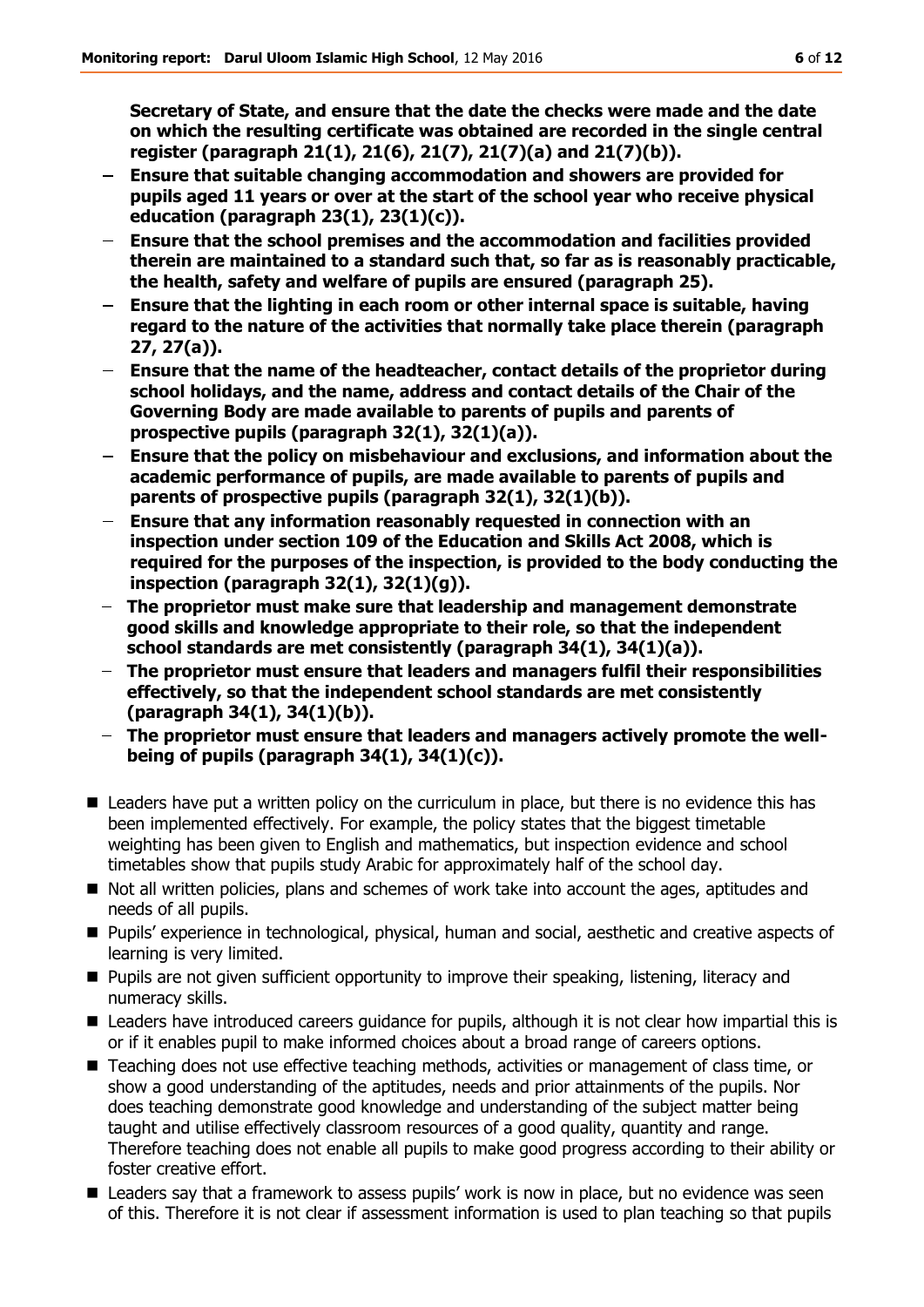**Secretary of State, and ensure that the date the checks were made and the date on which the resulting certificate was obtained are recorded in the single central register (paragraph 21(1), 21(6), 21(7), 21(7)(a) and 21(7)(b)).**

- **Ensure that suitable changing accommodation and showers are provided for pupils aged 11 years or over at the start of the school year who receive physical education (paragraph 23(1), 23(1)(c)).**
- **Ensure that the school premises and the accommodation and facilities provided therein are maintained to a standard such that, so far as is reasonably practicable, the health, safety and welfare of pupils are ensured (paragraph 25).**
- **Ensure that the lighting in each room or other internal space is suitable, having regard to the nature of the activities that normally take place therein (paragraph 27, 27(a)).**
- **Ensure that the name of the headteacher, contact details of the proprietor during**   $\frac{1}{2}$ **school holidays, and the name, address and contact details of the Chair of the Governing Body are made available to parents of pupils and parents of prospective pupils (paragraph 32(1), 32(1)(a)).**
- **Ensure that the policy on misbehaviour and exclusions, and information about the academic performance of pupils, are made available to parents of pupils and parents of prospective pupils (paragraph 32(1), 32(1)(b)).**
- **Ensure that any information reasonably requested in connection with an inspection under section 109 of the Education and Skills Act 2008, which is required for the purposes of the inspection, is provided to the body conducting the inspection (paragraph 32(1), 32(1)(g)).**
- **The proprietor must make sure that leadership and management demonstrate good skills and knowledge appropriate to their role, so that the independent school standards are met consistently (paragraph 34(1), 34(1)(a)).**
- **The proprietor must ensure that leaders and managers fulfil their responsibilities effectively, so that the independent school standards are met consistently (paragraph 34(1), 34(1)(b)).**
- **The proprietor must ensure that leaders and managers actively promote the wellbeing of pupils (paragraph 34(1), 34(1)(c)).**
- Leaders have put a written policy on the curriculum in place, but there is no evidence this has been implemented effectively. For example, the policy states that the biggest timetable weighting has been given to English and mathematics, but inspection evidence and school timetables show that pupils study Arabic for approximately half of the school day.
- $\blacksquare$  Not all written policies, plans and schemes of work take into account the ages, aptitudes and needs of all pupils.
- **Pupils'** experience in technological, physical, human and social, aesthetic and creative aspects of learning is very limited.
- **Pupils are not given sufficient opportunity to improve their speaking, listening, literacy and** numeracy skills.
- Leaders have introduced careers guidance for pupils, although it is not clear how impartial this is or if it enables pupil to make informed choices about a broad range of careers options.
- Teaching does not use effective teaching methods, activities or management of class time, or show a good understanding of the aptitudes, needs and prior attainments of the pupils. Nor does teaching demonstrate good knowledge and understanding of the subject matter being taught and utilise effectively classroom resources of a good quality, quantity and range. Therefore teaching does not enable all pupils to make good progress according to their ability or foster creative effort.
- **E** Leaders say that a framework to assess pupils' work is now in place, but no evidence was seen of this. Therefore it is not clear if assessment information is used to plan teaching so that pupils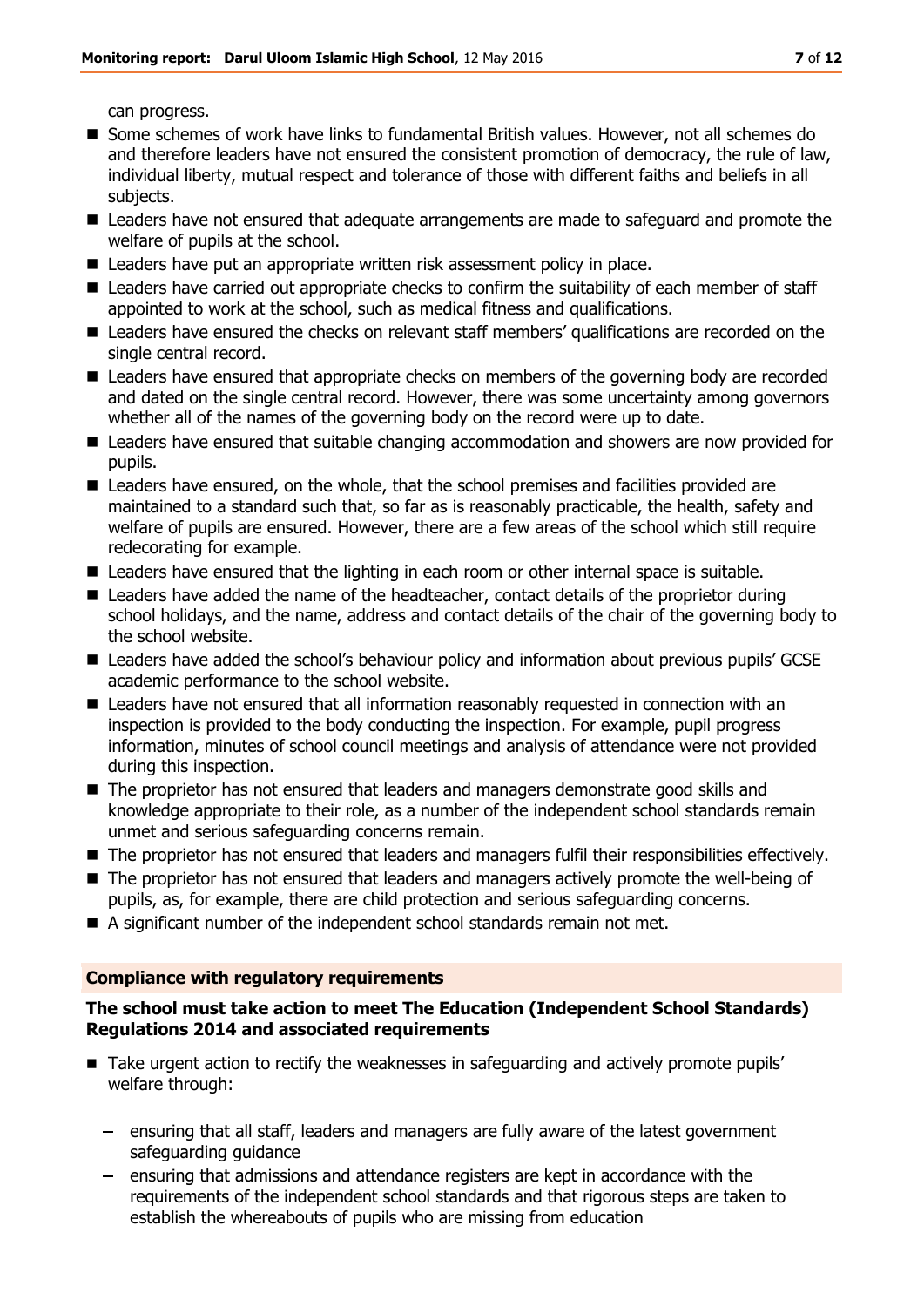can progress.

- Some schemes of work have links to fundamental British values. However, not all schemes do and therefore leaders have not ensured the consistent promotion of democracy, the rule of law, individual liberty, mutual respect and tolerance of those with different faiths and beliefs in all subjects.
- Leaders have not ensured that adequate arrangements are made to safeguard and promote the welfare of pupils at the school.
- Leaders have put an appropriate written risk assessment policy in place.
- Leaders have carried out appropriate checks to confirm the suitability of each member of staff appointed to work at the school, such as medical fitness and qualifications.
- Leaders have ensured the checks on relevant staff members' qualifications are recorded on the single central record.
- Leaders have ensured that appropriate checks on members of the governing body are recorded and dated on the single central record. However, there was some uncertainty among governors whether all of the names of the governing body on the record were up to date.
- Leaders have ensured that suitable changing accommodation and showers are now provided for pupils.
- Leaders have ensured, on the whole, that the school premises and facilities provided are maintained to a standard such that, so far as is reasonably practicable, the health, safety and welfare of pupils are ensured. However, there are a few areas of the school which still require redecorating for example.
- Leaders have ensured that the lighting in each room or other internal space is suitable.
- Leaders have added the name of the headteacher, contact details of the proprietor during school holidays, and the name, address and contact details of the chair of the governing body to the school website.
- Leaders have added the school's behaviour policy and information about previous pupils' GCSE academic performance to the school website.
- Leaders have not ensured that all information reasonably requested in connection with an inspection is provided to the body conducting the inspection. For example, pupil progress information, minutes of school council meetings and analysis of attendance were not provided during this inspection.
- The proprietor has not ensured that leaders and managers demonstrate good skills and knowledge appropriate to their role, as a number of the independent school standards remain unmet and serious safeguarding concerns remain.
- The proprietor has not ensured that leaders and managers fulfil their responsibilities effectively.
- The proprietor has not ensured that leaders and managers actively promote the well-being of pupils, as, for example, there are child protection and serious safeguarding concerns.
- A significant number of the independent school standards remain not met.

#### **Compliance with regulatory requirements**

#### **The school must take action to meet The Education (Independent School Standards) Regulations 2014 and associated requirements**

- Take urgent action to rectify the weaknesses in safeguarding and actively promote pupils' welfare through:
	- $-$  ensuring that all staff, leaders and managers are fully aware of the latest government safeguarding guidance
	- ensuring that admissions and attendance registers are kept in accordance with the requirements of the independent school standards and that rigorous steps are taken to establish the whereabouts of pupils who are missing from education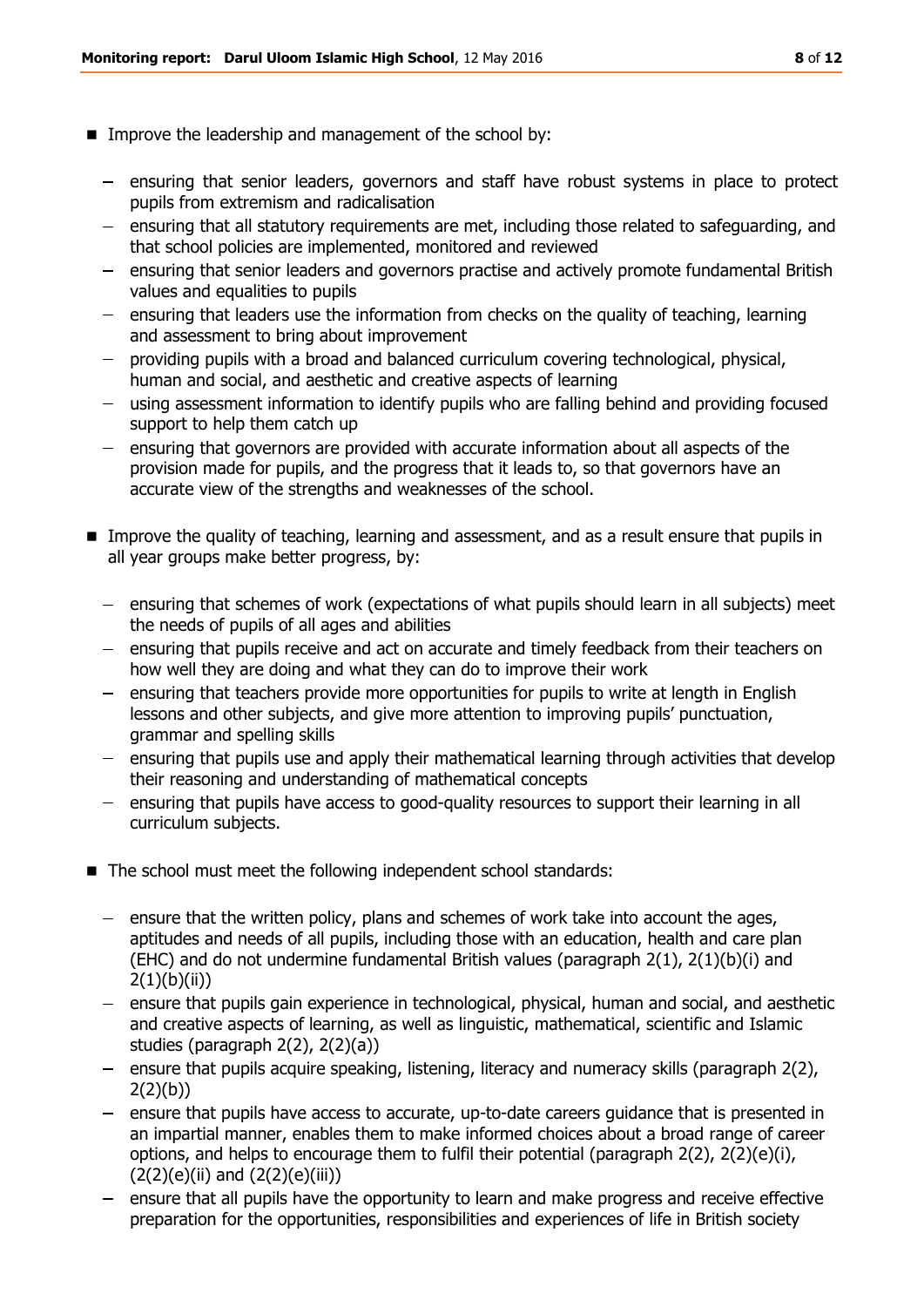- **IMPROVE the leadership and management of the school by:** 
	- ensuring that senior leaders, governors and staff have robust systems in place to protect pupils from extremism and radicalisation
	- ensuring that all statutory requirements are met, including those related to safequarding, and that school policies are implemented, monitored and reviewed
	- ensuring that senior leaders and governors practise and actively promote fundamental British values and equalities to pupils
	- $-$  ensuring that leaders use the information from checks on the quality of teaching, learning and assessment to bring about improvement
	- providing pupils with a broad and balanced curriculum covering technological, physical, human and social, and aesthetic and creative aspects of learning
	- using assessment information to identify pupils who are falling behind and providing focused support to help them catch up
	- ensuring that governors are provided with accurate information about all aspects of the provision made for pupils, and the progress that it leads to, so that governors have an accurate view of the strengths and weaknesses of the school.
- Improve the quality of teaching, learning and assessment, and as a result ensure that pupils in all year groups make better progress, by:
	- ensuring that schemes of work (expectations of what pupils should learn in all subjects) meet the needs of pupils of all ages and abilities
	- ensuring that pupils receive and act on accurate and timely feedback from their teachers on how well they are doing and what they can do to improve their work
	- ensuring that teachers provide more opportunities for pupils to write at length in English lessons and other subjects, and give more attention to improving pupils' punctuation, grammar and spelling skills
	- $-$  ensuring that pupils use and apply their mathematical learning through activities that develop their reasoning and understanding of mathematical concepts
	- ensuring that pupils have access to good-quality resources to support their learning in all curriculum subjects.
- The school must meet the following independent school standards:
	- $-$  ensure that the written policy, plans and schemes of work take into account the ages, aptitudes and needs of all pupils, including those with an education, health and care plan (EHC) and do not undermine fundamental British values (paragraph 2(1), 2(1)(b)(i) and  $2(1)(b)(ii)$
	- ensure that pupils gain experience in technological, physical, human and social, and aesthetic and creative aspects of learning, as well as linguistic, mathematical, scientific and Islamic studies (paragraph 2(2), 2(2)(a))
	- ensure that pupils acquire speaking, listening, literacy and numeracy skills (paragraph 2(2),  $2(2)(b)$
	- $-$  ensure that pupils have access to accurate, up-to-date careers quidance that is presented in an impartial manner, enables them to make informed choices about a broad range of career options, and helps to encourage them to fulfil their potential (paragraph 2(2), 2(2)(e)(i),  $(2(2)(e)(ii)$  and  $(2(2)(e)(iii))$
	- $-$  ensure that all pupils have the opportunity to learn and make progress and receive effective preparation for the opportunities, responsibilities and experiences of life in British society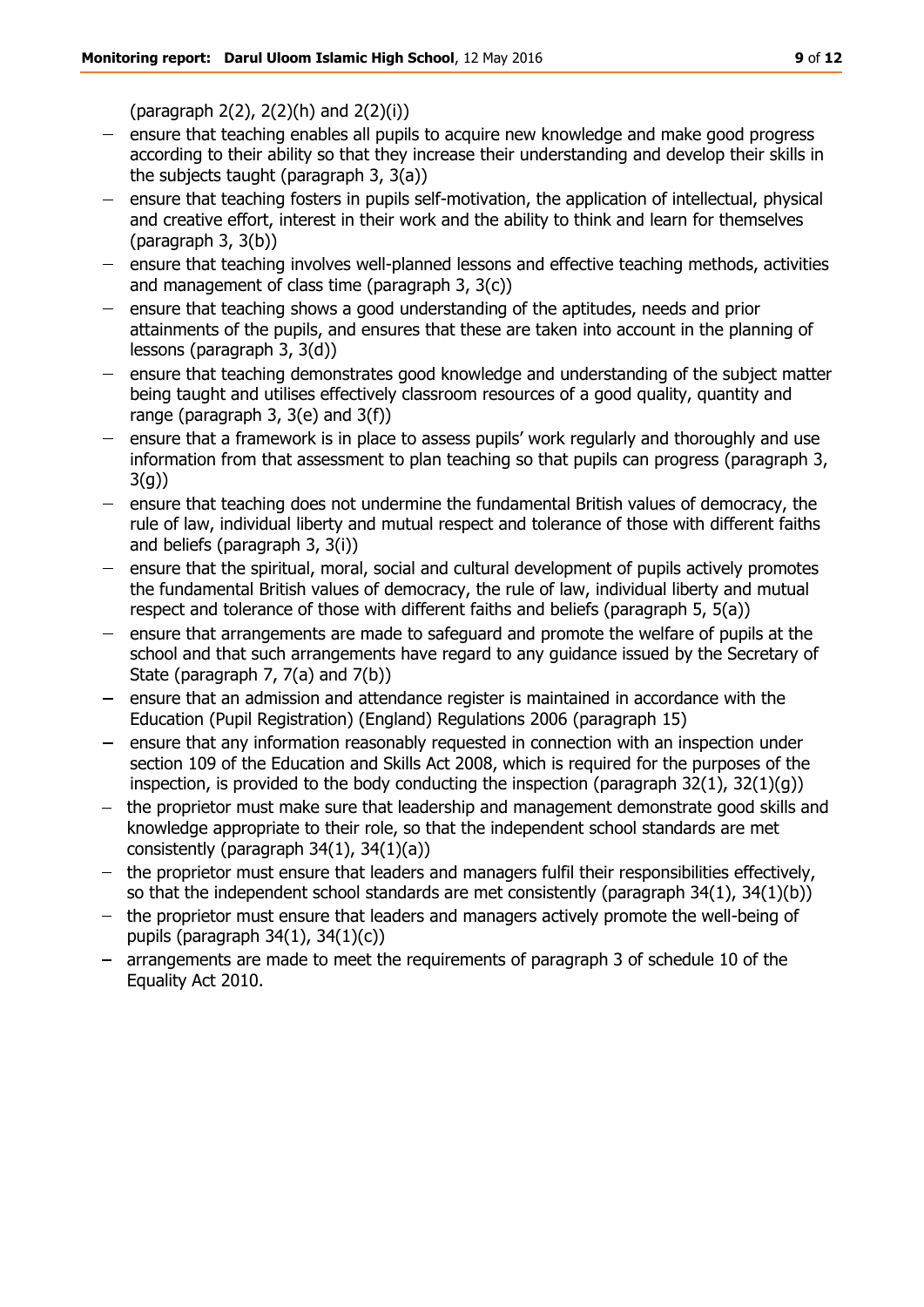(paragraph 2(2), 2(2)(h) and 2(2)(i))

- ensure that teaching enables all pupils to acquire new knowledge and make good progress  $\frac{1}{2}$ according to their ability so that they increase their understanding and develop their skills in the subjects taught (paragraph 3, 3(a))
- ensure that teaching fosters in pupils self-motivation, the application of intellectual, physical and creative effort, interest in their work and the ability to think and learn for themselves (paragraph 3, 3(b))
- $-$  ensure that teaching involves well-planned lessons and effective teaching methods, activities and management of class time (paragraph 3, 3(c))
- ensure that teaching shows a good understanding of the aptitudes, needs and prior attainments of the pupils, and ensures that these are taken into account in the planning of lessons (paragraph 3, 3(d))
- $-$  ensure that teaching demonstrates good knowledge and understanding of the subject matter being taught and utilises effectively classroom resources of a good quality, quantity and range (paragraph 3, 3(e) and 3(f))
- ensure that a framework is in place to assess pupils' work regularly and thoroughly and use information from that assessment to plan teaching so that pupils can progress (paragraph 3,  $3(q)$
- $-$  ensure that teaching does not undermine the fundamental British values of democracy, the rule of law, individual liberty and mutual respect and tolerance of those with different faiths and beliefs (paragraph 3, 3(i))
- ensure that the spiritual, moral, social and cultural development of pupils actively promotes the fundamental British values of democracy, the rule of law, individual liberty and mutual respect and tolerance of those with different faiths and beliefs (paragraph 5, 5(a))
- $-$  ensure that arrangements are made to safeguard and promote the welfare of pupils at the school and that such arrangements have regard to any guidance issued by the Secretary of State (paragraph 7, 7(a) and 7(b))
- ensure that an admission and attendance register is maintained in accordance with the Education (Pupil Registration) (England) Regulations 2006 (paragraph 15)
- ensure that any information reasonably requested in connection with an inspection under section 109 of the Education and Skills Act 2008, which is required for the purposes of the inspection, is provided to the body conducting the inspection (paragraph  $32(1)$ ,  $32(1)(q)$ )
- the proprietor must make sure that leadership and management demonstrate good skills and knowledge appropriate to their role, so that the independent school standards are met consistently (paragraph 34(1), 34(1)(a))
- the proprietor must ensure that leaders and managers fulfil their responsibilities effectively, so that the independent school standards are met consistently (paragraph 34(1), 34(1)(b))
- $-$  the proprietor must ensure that leaders and managers actively promote the well-being of pupils (paragraph 34(1), 34(1)(c))
- arrangements are made to meet the requirements of paragraph 3 of schedule 10 of the Equality Act 2010.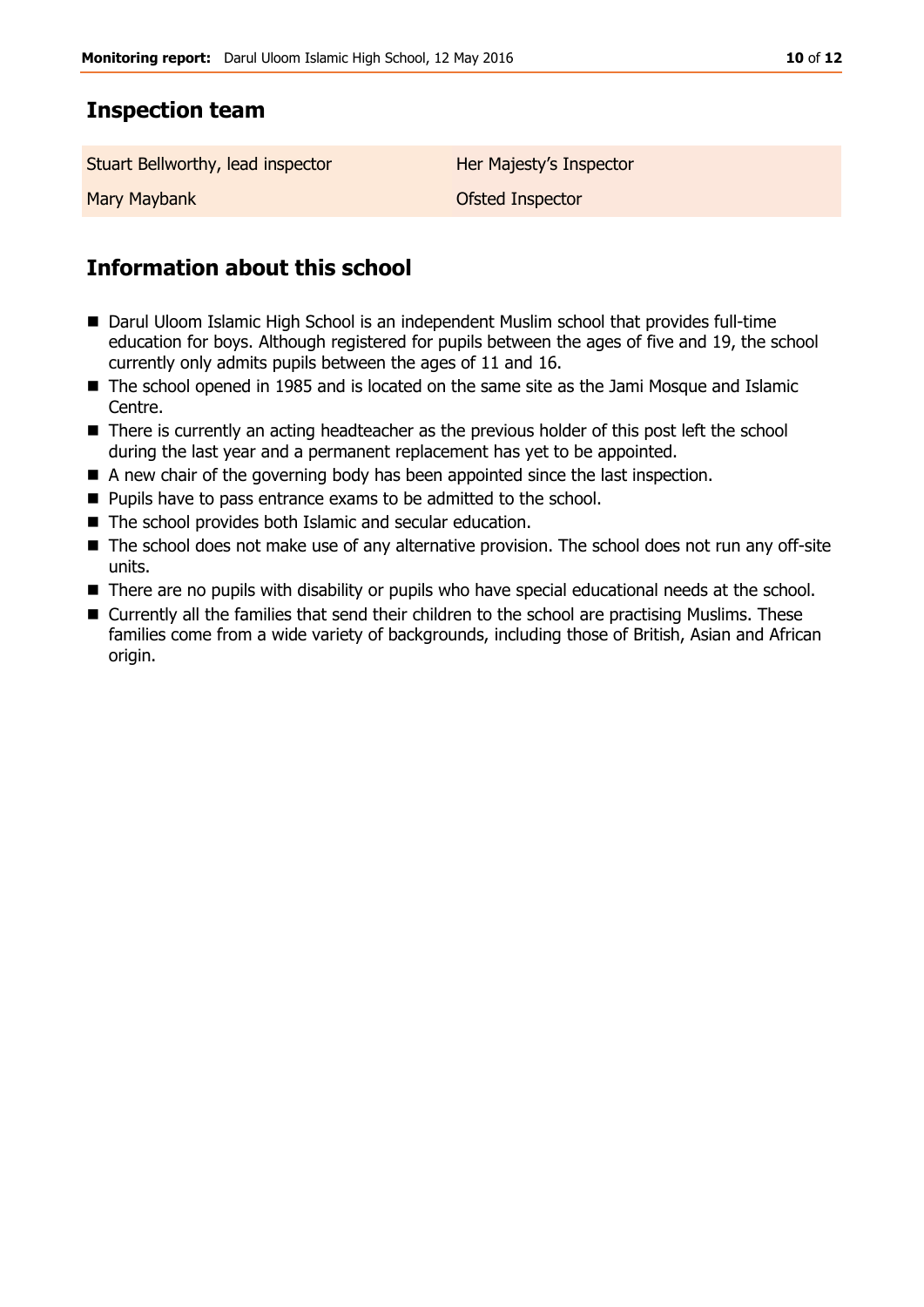## **Inspection team**

Stuart Bellworthy, lead inspector **Her Majesty's Inspector** 

Mary Maybank **Ofsted Inspector** 

# **Information about this school**

- Darul Uloom Islamic High School is an independent Muslim school that provides full-time education for boys. Although registered for pupils between the ages of five and 19, the school currently only admits pupils between the ages of 11 and 16.
- The school opened in 1985 and is located on the same site as the Jami Mosque and Islamic Centre.
- There is currently an acting headteacher as the previous holder of this post left the school during the last year and a permanent replacement has yet to be appointed.
- A new chair of the governing body has been appointed since the last inspection.
- **Pupils have to pass entrance exams to be admitted to the school.**
- The school provides both Islamic and secular education.
- The school does not make use of any alternative provision. The school does not run any off-site units.
- There are no pupils with disability or pupils who have special educational needs at the school.
- Currently all the families that send their children to the school are practising Muslims. These families come from a wide variety of backgrounds, including those of British, Asian and African origin.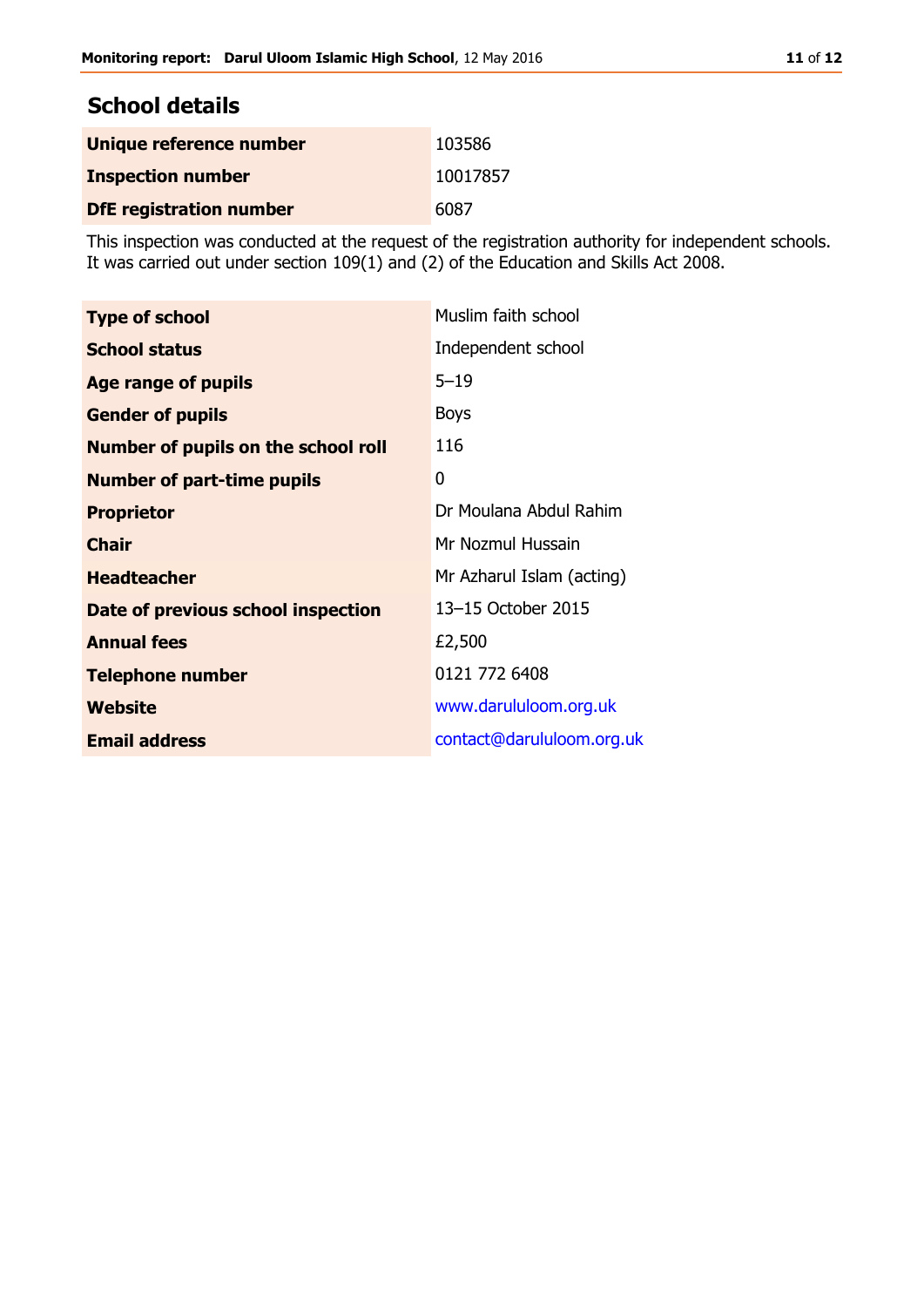## **School details**

| Unique reference number        | 103586   |
|--------------------------------|----------|
| <b>Inspection number</b>       | 10017857 |
| <b>DfE registration number</b> | 6087     |

This inspection was conducted at the request of the registration authority for independent schools. It was carried out under section 109(1) and (2) of the Education and Skills Act 2008.

| <b>Type of school</b>                      | Muslim faith school       |
|--------------------------------------------|---------------------------|
| <b>School status</b>                       | Independent school        |
| Age range of pupils                        | $5 - 19$                  |
| <b>Gender of pupils</b>                    | <b>Boys</b>               |
| <b>Number of pupils on the school roll</b> | 116                       |
| <b>Number of part-time pupils</b>          | 0                         |
| <b>Proprietor</b>                          | Dr Moulana Abdul Rahim    |
| <b>Chair</b>                               | Mr Nozmul Hussain         |
| <b>Headteacher</b>                         | Mr Azharul Islam (acting) |
| Date of previous school inspection         | 13-15 October 2015        |
| <b>Annual fees</b>                         | £2,500                    |
| <b>Telephone number</b>                    | 0121 772 6408             |
| <b>Website</b>                             | www.darululoom.org.uk     |
| <b>Email address</b>                       | contact@darululoom.org.uk |